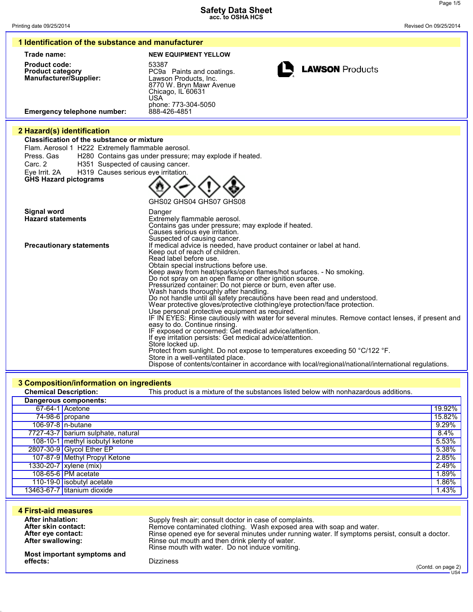| 1 Identification of the substance and manufacturer                                                                                                                                                                                                                                         |                                                                                                                                                                                                                                                                                                                                                                                                                                                                                                                                                                                                                                                                                                                                                                                                                                                                                                                                                                                                                                                                                                                                                    |  |
|--------------------------------------------------------------------------------------------------------------------------------------------------------------------------------------------------------------------------------------------------------------------------------------------|----------------------------------------------------------------------------------------------------------------------------------------------------------------------------------------------------------------------------------------------------------------------------------------------------------------------------------------------------------------------------------------------------------------------------------------------------------------------------------------------------------------------------------------------------------------------------------------------------------------------------------------------------------------------------------------------------------------------------------------------------------------------------------------------------------------------------------------------------------------------------------------------------------------------------------------------------------------------------------------------------------------------------------------------------------------------------------------------------------------------------------------------------|--|
| Trade name:                                                                                                                                                                                                                                                                                | <b>NEW EQUIPMENT YELLOW</b>                                                                                                                                                                                                                                                                                                                                                                                                                                                                                                                                                                                                                                                                                                                                                                                                                                                                                                                                                                                                                                                                                                                        |  |
| <b>Product code:</b><br><b>Product category</b><br>Manufacturer/Supplier:<br><b>Emergency telephone number:</b>                                                                                                                                                                            | 53387<br><b>LAWSON Products</b><br>PC9a Paints and coatings.<br>Lawson Products, Inc.<br>8770 W. Bryn Mawr Avenue<br>Chicago, IL 60631<br>USA<br>phone: 773-304-5050<br>888-426-4851                                                                                                                                                                                                                                                                                                                                                                                                                                                                                                                                                                                                                                                                                                                                                                                                                                                                                                                                                               |  |
|                                                                                                                                                                                                                                                                                            |                                                                                                                                                                                                                                                                                                                                                                                                                                                                                                                                                                                                                                                                                                                                                                                                                                                                                                                                                                                                                                                                                                                                                    |  |
| 2 Hazard(s) identification<br><b>Classification of the substance or mixture</b><br>Flam. Aerosol 1 H222 Extremely flammable aerosol.<br>Press, Gas<br>H351 Suspected of causing cancer.<br>Carc. 2<br>Eye Irrit. 2A<br>H319 Causes serious eye irritation.<br><b>GHS Hazard pictograms</b> | H280 Contains gas under pressure; may explode if heated.<br>GHS02 GHS04 GHS07 GHS08                                                                                                                                                                                                                                                                                                                                                                                                                                                                                                                                                                                                                                                                                                                                                                                                                                                                                                                                                                                                                                                                |  |
| Signal word<br><b>Hazard statements</b>                                                                                                                                                                                                                                                    | Danger<br>Extremely flammable aerosol.<br>Contains gas under pressure; may explode if heated.<br>Causes serious eye irritation.<br>Suspected of causing cancer.                                                                                                                                                                                                                                                                                                                                                                                                                                                                                                                                                                                                                                                                                                                                                                                                                                                                                                                                                                                    |  |
| <b>Precautionary statements</b>                                                                                                                                                                                                                                                            | If medical advice is needed, have product container or label at hand.<br>Keep out of reach of children.<br>Read label before use.<br>Obtain special instructions before use.<br>Keep away from heat/sparks/open flames/hot surfaces. - No smoking.<br>Do not spray on an open flame or other ignition source.<br>Pressurized container: Do not pierce or burn, even after use.<br>Wash hands thoroughly after handling.<br>Do not handle until all safety precautions have been read and understood.<br>Wear protective gloves/protective clothing/eye protection/face protection.<br>Use personal protective equipment as required.<br>IF IN EYES: Rinse cautiously with water for several minutes. Remove contact lenses, if present and<br>easy to do. Continue rinsing.<br>IF exposed or concerned: Get medical advice/attention.<br>If eye irritation persists: Get medical advice/attention.<br>Store locked up.<br>Protect from sunlight. Do not expose to temperatures exceeding 50 °C/122 °F.<br>Store in a well-ventilated place.<br>Dispose of contents/container in accordance with local/regional/national/international regulations. |  |

## **3 Composition/information on ingredients**

| <b>Chemical Description:</b> |                                    | This product is a mixture of the substances listed below with nonhazardous additions. |        |
|------------------------------|------------------------------------|---------------------------------------------------------------------------------------|--------|
| Dangerous components:        |                                    |                                                                                       |        |
|                              | 67-64-1 Acetone                    |                                                                                       | 19.92% |
|                              | $74-98-6$ propane                  |                                                                                       | 15.82% |
|                              | 106-97-8   n-butane                |                                                                                       | 9.29%  |
|                              | 7727-43-7 barium sulphate, natural |                                                                                       | 8.4%   |
|                              | 108-10-1 methyl isobutyl ketone    |                                                                                       | 5.53%  |
|                              | 2807-30-9 Glycol Ether EP          |                                                                                       | 5.38%  |
|                              | 107-87-9 Methyl Propyl Ketone      |                                                                                       | 2.85%  |
|                              | 1330-20-7 xylene (mix)             |                                                                                       | 2.49%  |
|                              | 108-65-6 PM acetate                |                                                                                       | 1.89%  |
|                              | 110-19-0 isobutyl acetate          |                                                                                       | 1.86%  |
|                              | 13463-67-7 titanium dioxide        |                                                                                       | 1.43%  |

| 4 First-aid measures                                                                |                                                                                                                                                                                                                                                                                                                                           |
|-------------------------------------------------------------------------------------|-------------------------------------------------------------------------------------------------------------------------------------------------------------------------------------------------------------------------------------------------------------------------------------------------------------------------------------------|
| After inhalation:<br>After skin contact:<br>After eye contact:<br>After swallowing: | Supply fresh air; consult doctor in case of complaints.<br>Remove contaminated clothing. Wash exposed area with soap and water.<br>Rinse opened eve for several minutes under running water. If symptoms persist, consult a doctor.<br>Rinse out mouth and then drink plenty of water.<br>Rinse mouth with water. Do not induce vomiting. |
| Most important symptoms and<br>effects:                                             | <b>Dizziness</b><br>(Contd. on page 2)<br>– US4                                                                                                                                                                                                                                                                                           |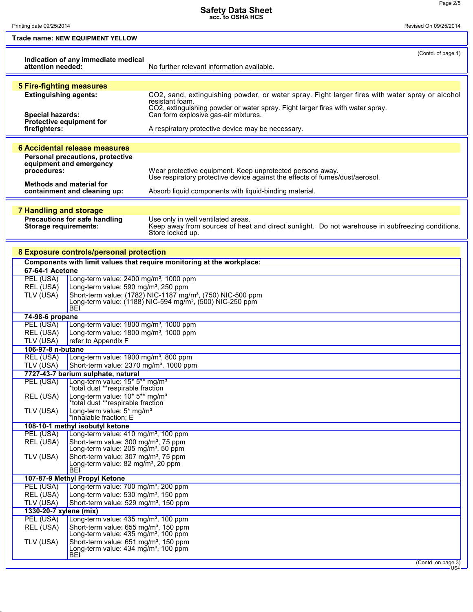Printing date 09/25/2014 Revised On 09/25/2014

L

**Trade name: NEW EQUIPMENT YELLOW**

|                                 |                                                                                                       | (Contd. of page 1)                                                                                                                               |
|---------------------------------|-------------------------------------------------------------------------------------------------------|--------------------------------------------------------------------------------------------------------------------------------------------------|
| attention needed:               | Indication of any immediate medical                                                                   | No further relevant information available.                                                                                                       |
|                                 |                                                                                                       |                                                                                                                                                  |
| <b>5 Fire-fighting measures</b> |                                                                                                       |                                                                                                                                                  |
| <b>Extinguishing agents:</b>    |                                                                                                       | CO2, sand, extinguishing powder, or water spray. Fight larger fires with water spray or alcohol                                                  |
|                                 |                                                                                                       | resistant foam.<br>CO2, extinguishing powder or water spray. Fight larger fires with water spray.                                                |
| <b>Special hazards:</b>         |                                                                                                       | Can form explosive gas-air mixtures.                                                                                                             |
| firefighters:                   | Protective equipment for                                                                              | A respiratory protective device may be necessary.                                                                                                |
|                                 |                                                                                                       |                                                                                                                                                  |
|                                 | 6 Accidental release measures                                                                         |                                                                                                                                                  |
|                                 | Personal precautions, protective                                                                      |                                                                                                                                                  |
|                                 | equipment and emergency                                                                               |                                                                                                                                                  |
| procedures:                     |                                                                                                       | Wear protective equipment. Keep unprotected persons away.<br>Use respiratory protective device against the effects of fumes/dust/aerosol.        |
|                                 | <b>Methods and material for</b>                                                                       |                                                                                                                                                  |
|                                 | containment and cleaning up:                                                                          | Absorb liquid components with liquid-binding material.                                                                                           |
|                                 |                                                                                                       |                                                                                                                                                  |
| <b>7 Handling and storage</b>   |                                                                                                       |                                                                                                                                                  |
| <b>Storage requirements:</b>    | Precautions for safe handling                                                                         | Use only in well ventilated areas.<br>Keep away from sources of heat and direct sunlight. Do not warehouse in subfreezing conditions.            |
|                                 |                                                                                                       | Store locked up.                                                                                                                                 |
|                                 |                                                                                                       |                                                                                                                                                  |
|                                 | 8 Exposure controls/personal protection                                                               |                                                                                                                                                  |
|                                 |                                                                                                       | Components with limit values that require monitoring at the workplace:                                                                           |
| <b>67-64-1 Acetone</b>          |                                                                                                       |                                                                                                                                                  |
| PEL (USA)                       | Long-term value: 2400 mg/m <sup>3</sup> , 1000 ppm                                                    |                                                                                                                                                  |
| REL (USA)                       | Long-term value: 590 mg/m <sup>3</sup> , 250 ppm                                                      |                                                                                                                                                  |
| TLV (USA)                       |                                                                                                       | Short-term value: (1782) NIC-1187 mg/m <sup>3</sup> , (750) NIC-500 ppm<br>Long-term value: (1188) NIC-594 mg/m <sup>3</sup> , (500) NIC-250 ppm |
|                                 | BEI                                                                                                   |                                                                                                                                                  |
| 74-98-6 propane                 |                                                                                                       |                                                                                                                                                  |
| PEL (USA)                       | Long-term value: 1800 mg/m <sup>3</sup> , 1000 ppm                                                    |                                                                                                                                                  |
| REL (USA)                       | Long-term value: 1800 mg/m <sup>3</sup> , 1000 ppm                                                    |                                                                                                                                                  |
| TLV (USA)<br>106-97-8 n-butane  | refer to Appendix F                                                                                   |                                                                                                                                                  |
| <b>REL (USA)</b>                | Long-term value: 1900 mg/m <sup>3</sup> , 800 ppm                                                     |                                                                                                                                                  |
| TLV (USA)                       | Short-term value: 2370 mg/m <sup>3</sup> , 1000 ppm                                                   |                                                                                                                                                  |
|                                 | 7727-43-7 barium sulphate, natural                                                                    |                                                                                                                                                  |
| PEL (USA)                       | Long-term value: 15* 5** mg/m <sup>3</sup>                                                            |                                                                                                                                                  |
|                                 | *total dust **respirable fraction                                                                     |                                                                                                                                                  |
| REL (USA)                       | Long-term value: 10* 5** mg/m <sup>3</sup><br>*total dust **respirable fraction                       |                                                                                                                                                  |
| TLV (USA)                       | Long-term value: 5* mg/m <sup>3</sup>                                                                 |                                                                                                                                                  |
|                                 | *inhalable fraction; E                                                                                |                                                                                                                                                  |
|                                 | 108-10-1 methyl isobutyl ketone                                                                       |                                                                                                                                                  |
| PEL (USA)                       | Long-term value: 410 mg/m <sup>3</sup> , 100 ppm<br>Short-term value: 300 mg/m <sup>3</sup> , 75 ppm  |                                                                                                                                                  |
| REL (USA)                       | Long-term value: 205 mg/m <sup>3</sup> , 50 ppm                                                       |                                                                                                                                                  |
| TLV (USA)                       | Short-term value: 307 mg/m <sup>3</sup> , 75 ppm                                                      |                                                                                                                                                  |
|                                 | Long-term value: 82 mg/m <sup>3</sup> , 20 ppm                                                        |                                                                                                                                                  |
|                                 | BEI<br>107-87-9 Methyl Propyl Ketone                                                                  |                                                                                                                                                  |
| PEL (USA)                       | Long-term value: 700 mg/m <sup>3</sup> , 200 ppm                                                      |                                                                                                                                                  |
| REL (USA)                       | Long-term value: 530 mg/m <sup>3</sup> , 150 ppm                                                      |                                                                                                                                                  |
| TLV (USA)                       | Short-term value: 529 mg/m <sup>3</sup> , 150 ppm                                                     |                                                                                                                                                  |
| 1330-20-7 xylene (mix)          |                                                                                                       |                                                                                                                                                  |
| PEL (USA)                       | Long-term value: 435 mg/m <sup>3</sup> , 100 ppm                                                      |                                                                                                                                                  |
| REL (USA)                       | Short-term value: 655 mg/m <sup>3</sup> , 150 ppm                                                     |                                                                                                                                                  |
| TLV (USA)                       | Long-term value: 435 mg/m <sup>3</sup> , 100 ppm<br>Short-term value: 651 mg/m <sup>3</sup> , 150 ppm |                                                                                                                                                  |
|                                 | Long-term value: 434 mg/m <sup>3</sup> , 100 ppm                                                      |                                                                                                                                                  |
|                                 | <b>BEI</b>                                                                                            |                                                                                                                                                  |
|                                 |                                                                                                       | (Contd. on page 3)                                                                                                                               |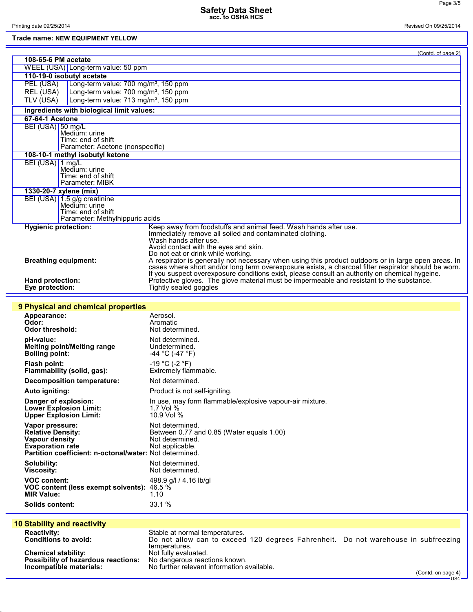## **Trade name: NEW EQUIPMENT YELLOW**

Printing date 09/25/2014 Revised On 09/25/2014

| 200 HANG. NEW EQUITMENT TEEK                                  |                                                                                                                                                                                                             |
|---------------------------------------------------------------|-------------------------------------------------------------------------------------------------------------------------------------------------------------------------------------------------------------|
|                                                               | (Contd. of page 2)                                                                                                                                                                                          |
| 108-65-6 PM acetate                                           |                                                                                                                                                                                                             |
| WEEL (USA) Long-term value: 50 ppm                            |                                                                                                                                                                                                             |
| 110-19-0 isobutyl acetate                                     |                                                                                                                                                                                                             |
| PEL (USA)<br>Long-term value: 700 mg/m <sup>3</sup> , 150 ppm |                                                                                                                                                                                                             |
| REL (USA)<br>Long-term value: 700 mg/m <sup>3</sup> , 150 ppm |                                                                                                                                                                                                             |
| Long-term value: 713 mg/m <sup>3</sup> , 150 ppm<br>TLV (USA) |                                                                                                                                                                                                             |
| Ingredients with biological limit values:                     |                                                                                                                                                                                                             |
| 67-64-1 Acetone                                               |                                                                                                                                                                                                             |
| BEI (USA) 50 mg/L<br>Medium: urine                            |                                                                                                                                                                                                             |
| Time: end of shift                                            |                                                                                                                                                                                                             |
| Parameter: Acetone (nonspecific)                              |                                                                                                                                                                                                             |
| 108-10-1 methyl isobutyl ketone                               |                                                                                                                                                                                                             |
| BEI (USA) 1 mg/L<br>Medium: urine                             |                                                                                                                                                                                                             |
| Time: end of shift                                            |                                                                                                                                                                                                             |
| Parameter: MIBK                                               |                                                                                                                                                                                                             |
| 1330-20-7 xylene (mix)                                        |                                                                                                                                                                                                             |
| BEI (USA) 1.5 g/g creatinine<br>Medium: urine                 |                                                                                                                                                                                                             |
| Time: end of shift                                            |                                                                                                                                                                                                             |
| Parameter: Methylhippuric acids                               |                                                                                                                                                                                                             |
| <b>Hygienic protection:</b>                                   | Keep away from foodstuffs and animal feed. Wash hands after use.                                                                                                                                            |
|                                                               | Immediately remove all soiled and contaminated clothing.<br>Wash hands after use.                                                                                                                           |
|                                                               | Avoid contact with the eyes and skin.                                                                                                                                                                       |
|                                                               | Do not eat or drink while working.                                                                                                                                                                          |
| <b>Breathing equipment:</b>                                   | A respirator is generally not necessary when using this product outdoors or in large open areas. In<br>cases where short and/or long term overexposure exists, a charcoal filter respirator should be worn. |
|                                                               | If you suspect overexposure conditions exist, please consult an authority on chemical hygeine.                                                                                                              |
| Hand protection:                                              | Protective gloves. The glove material must be impermeable and resistant to the substance.                                                                                                                   |
| Eye protection:                                               | Tightly sealed goggles                                                                                                                                                                                      |
|                                                               |                                                                                                                                                                                                             |
| 9 Physical and chemical properties                            |                                                                                                                                                                                                             |
| Appearance:                                                   | Aerosol.                                                                                                                                                                                                    |
| Odor:<br><b>Odor threshold:</b>                               | Aromatic<br>Not determined.                                                                                                                                                                                 |
| pH-value:                                                     | Not determined.                                                                                                                                                                                             |
| Melting point/Melting range                                   | Undetermined.                                                                                                                                                                                               |
| <b>Boiling point:</b>                                         | -44 °C (-47 °F)                                                                                                                                                                                             |
| <b>Flash point:</b>                                           | $-19 °C (-2 °F)$                                                                                                                                                                                            |
| Flammability (solid, gas):                                    | Extremely flammable.                                                                                                                                                                                        |
| Decomposition temperature:                                    | Not determined.                                                                                                                                                                                             |
| Auto igniting:                                                | Product is not self-igniting.                                                                                                                                                                               |
| Danger of explosion:                                          | In use, may form flammable/explosive vapour-air mixture.                                                                                                                                                    |
| <b>Lower Explosion Limit:</b>                                 | 1.7 Vol %                                                                                                                                                                                                   |
| <b>Upper Explosion Limit:</b>                                 | 10.9 Vol %                                                                                                                                                                                                  |
| Vapor pressure:                                               | Not determined.                                                                                                                                                                                             |
| <b>Relative Density:</b>                                      | Between 0.77 and 0.85 (Water equals 1.00)                                                                                                                                                                   |
| Vapour density<br><b>Evaporation rate</b>                     | Not determined.<br>Not applicable.                                                                                                                                                                          |
| Partition coefficient: n-octonal/water: Not determined.       |                                                                                                                                                                                                             |
| Solubility:                                                   | Not determined.                                                                                                                                                                                             |
| <b>Viscosity:</b>                                             | Not determined.                                                                                                                                                                                             |
| <b>VOC content:</b>                                           | 498.9 g/l / 4.16 lb/gl                                                                                                                                                                                      |
| VOC content (less exempt solvents): 46.5 %                    |                                                                                                                                                                                                             |
| <b>MIR Value:</b>                                             | 1.10                                                                                                                                                                                                        |
| <b>Solids content:</b>                                        | 33.1 %                                                                                                                                                                                                      |
|                                                               |                                                                                                                                                                                                             |
| <b>10 Stability and reactivity</b>                            |                                                                                                                                                                                                             |
| <b>Reactivity:</b>                                            | Stable at normal temperatures.                                                                                                                                                                              |
| <b>Conditions to avoid:</b>                                   | Do not allow can to exceed 120 degrees Fahrenheit. Do not warehouse in subfreezing                                                                                                                          |
| <b>Chemical stability:</b>                                    | temperatures.<br>Not fully evaluated.                                                                                                                                                                       |
| Possibility of hazardous reactions:                           | No dangerous reactions known.                                                                                                                                                                               |
| Incompatible materials:                                       | No further relevant information available.                                                                                                                                                                  |
|                                                               | (Contd. on page 4)<br>$US4 -$                                                                                                                                                                               |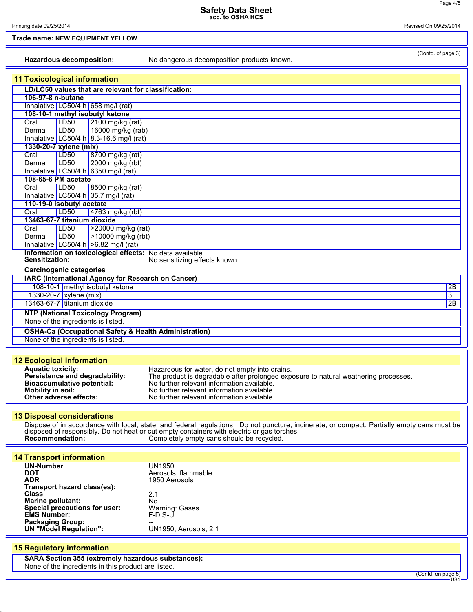| Hazardous decomposition:                                                                            | (Contd. of page 3)<br>No dangerous decomposition products known.                                                                           |
|-----------------------------------------------------------------------------------------------------|--------------------------------------------------------------------------------------------------------------------------------------------|
|                                                                                                     |                                                                                                                                            |
| <b>11 Toxicological information</b><br>LD/LC50 values that are relevant for classification:         |                                                                                                                                            |
| 106-97-8 n-butane                                                                                   |                                                                                                                                            |
| Inhalative LC50/4 h 658 mg/l (rat)                                                                  |                                                                                                                                            |
| 108-10-1 methyl isobutyl ketone                                                                     |                                                                                                                                            |
| <b>LD50</b><br>$\sqrt{2100}$ mg/kg (rat)<br>Oral<br>16000 mg/kg (rab)<br>LD <sub>50</sub><br>Dermal |                                                                                                                                            |
| Inhalative LC50/4 h 8.3-16.6 mg/l (rat)                                                             |                                                                                                                                            |
| 1330-20-7 xylene (mix)                                                                              |                                                                                                                                            |
| Oral<br>LD <sub>50</sub><br>8700 mg/kg (rat)                                                        |                                                                                                                                            |
| LD50<br>2000 mg/kg (rbt)<br>Dermal<br>Inhalative LC50/4 h 6350 mg/l (rat)                           |                                                                                                                                            |
| 108-65-6 PM acetate                                                                                 |                                                                                                                                            |
| LDS0<br>Oral<br>8500 mg/kg (rat)                                                                    |                                                                                                                                            |
| Inhalative LC50/4 h 35.7 mg/l (rat)                                                                 |                                                                                                                                            |
| 110-19-0 isobutyl acetate<br>Oral<br>LD50<br>4763 mg/kg (rbt)                                       |                                                                                                                                            |
| 13463-67-7 titanium dioxide                                                                         |                                                                                                                                            |
| >20000 mg/kg (rat)<br>Oral<br>LD <sub>50</sub>                                                      |                                                                                                                                            |
| LD <sub>50</sub><br>>10000 mg/kg (rbt)<br>Dermal                                                    |                                                                                                                                            |
| Inhalative LC50/4 h $>6.82$ mg/l (rat)<br>Information on toxicological effects: No data available.  |                                                                                                                                            |
| <b>Sensitization:</b>                                                                               | No sensitizing effects known.                                                                                                              |
| <b>Carcinogenic categories</b>                                                                      |                                                                                                                                            |
| IARC (International Agency for Research on Cancer)                                                  |                                                                                                                                            |
| 108-10-1 methyl isobutyl ketone                                                                     | 2B                                                                                                                                         |
| 1330-20-7 xylene (mix)<br>13463-67-7 titanium dioxide                                               | 3<br>2B                                                                                                                                    |
| <b>NTP (National Toxicology Program)</b>                                                            |                                                                                                                                            |
| None of the ingredients is listed.                                                                  |                                                                                                                                            |
| <b>OSHA-Ca (Occupational Safety &amp; Health Administration)</b>                                    |                                                                                                                                            |
| None of the ingredients is listed.                                                                  |                                                                                                                                            |
|                                                                                                     |                                                                                                                                            |
| <b>12 Ecological information</b>                                                                    |                                                                                                                                            |
| <b>Aquatic toxicity:</b>                                                                            | Hazardous for water, do not empty into drains.                                                                                             |
| Persistence and degradability:<br><b>Bioaccumulative potential:</b>                                 | The product is degradable after prolonged exposure to natural weathering processes.<br>No further relevant information available.          |
| <b>Mobility in soil:</b>                                                                            | No further relevant information available                                                                                                  |
| Other adverse effects:                                                                              | No further relevant information available.                                                                                                 |
|                                                                                                     |                                                                                                                                            |
| <b>13 Disposal considerations</b>                                                                   | Dispose of in accordance with local, state, and federal regulations. Do not puncture, incinerate, or compact. Partially empty cans must be |
|                                                                                                     | disposed of responsibly. Do not heat or cut empty containers with electric or gas torches.                                                 |
| <b>Recommendation:</b>                                                                              | Completely empty cans should be recycled.                                                                                                  |
|                                                                                                     |                                                                                                                                            |
| <b>14 Transport information</b><br><b>UN-Number</b>                                                 | <b>UN1950</b>                                                                                                                              |
| <b>DOT</b>                                                                                          | Aerosols, flammable                                                                                                                        |
| <b>ADR</b><br>Transport hazard class(es):                                                           | 1950 Aerosols                                                                                                                              |
| Class                                                                                               | 2.1                                                                                                                                        |
| <b>Marine pollutant:</b>                                                                            | No                                                                                                                                         |
| Special precautions for user:<br><b>EMS Number:</b>                                                 | Warning: Gases<br>$F-D, S-U$                                                                                                               |
| <b>Packaging Group:</b>                                                                             |                                                                                                                                            |
| <b>UN "Model Regulation":</b>                                                                       | UN1950, Aerosols, 2.1                                                                                                                      |
| <b>15 Regulatory information</b>                                                                    |                                                                                                                                            |
| <b>SARA Section 355 (extremely hazardous substances):</b>                                           |                                                                                                                                            |
| None of the ingredients in this product are listed.                                                 |                                                                                                                                            |
|                                                                                                     | (Contd. on page 5)<br>US <sub>4</sub>                                                                                                      |
|                                                                                                     |                                                                                                                                            |